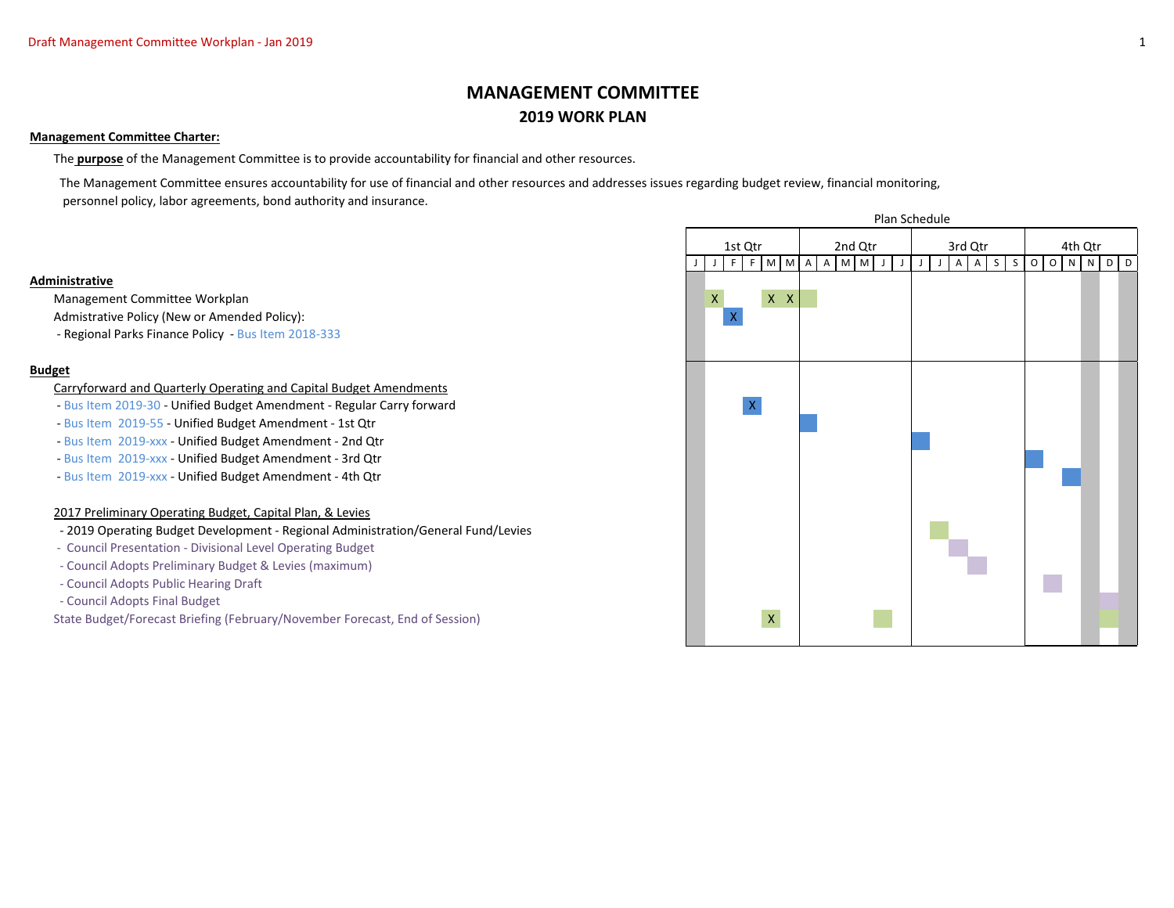# **MANAGEMENT COMMITTEE 2019 WORK PLAN**

## **Management Committee Charter:**

The **purpose** of the Management Committee is to provide accountability for financial and other resources.

 The Management Committee ensures accountability for use of financial and other resources and addresses issues regarding budget review, financial monitoring, personnel policy, labor agreements, bond authority and insurance.

## **Administrative**

Management Committee Workplan X X X

Admistrative Policy (New or Amended Policy):

- Regional Parks Finance Policy - Bus Item 2018-333

# **Budget**

#### Carryforward and Quarterly Operating and Capital Budget Amendments

- Bus Item 2019-30 Unified Budget Amendment Regular Carry forward X
- Bus Item 2019-55 Unified Budget Amendment 1st Qtr
- Bus Item 2019-xxx Unified Budget Amendment 2nd Qtr
- Bus Item 2019-xxx Unified Budget Amendment 3rd Qtr
- Bus Item 2019-xxx Unified Budget Amendment 4th Qtr

# 2017 Preliminary Operating Budget, Capital Plan, & Levies

- 2019 Operating Budget Development Regional Administration/General Fund/Levies
- Council Presentation Divisional Level Operating Budget
- Council Adopts Preliminary Budget & Levies (maximum)
- Council Adopts Public Hearing Draft
- Council Adopts Final Budget

State Budget/Forecast Briefing (February/November Forecast, End of Session) X X

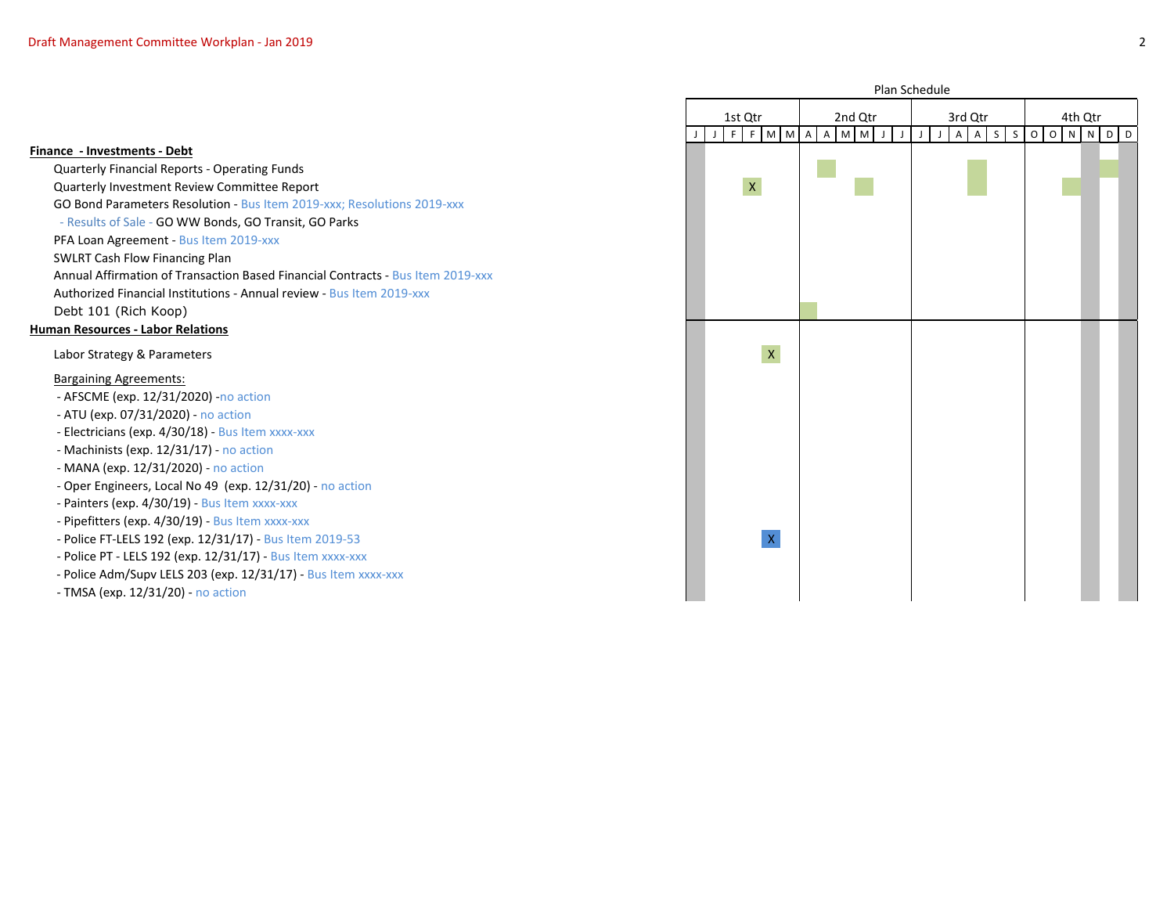**Finance - Investments - Debt**

Quarterly Financial Reports - Operating Funds Quarterly Investment Review Committee Report X GO Bond Parameters Resolution - Bus Item 2019-xxx; Resolutions 2019-xxx - Results of Sale - GO WW Bonds, GO Transit, GO Parks PFA Loan Agreement - Bus Item 2019-xxx SWLRT Cash Flow Financing Plan Annual Affirmation of Transaction Based Financial Contracts - Bus Item 2019-xxx Authorized Financial Institutions - Annual review - Bus Item 2019-xxx Debt 101 (Rich Koop) **Human Resources - Labor Relations** Labor Strategy & Parameters Bargaining Agreements: - AFSCME (exp. 12/31/2020) -no action - ATU (exp. 07/31/2020) - no action - Electricians (exp. 4/30/18) - Bus Item xxxx-xxx - Machinists (exp. 12/31/17) - no action - MANA (exp. 12/31/2020) - no action - Oper Engineers, Local No 49 (exp. 12/31/20) - no action - Painters (exp. 4/30/19) - Bus Item xxxx-xxx - Pipefitters (exp. 4/30/19) - Bus Item xxxx-xxx

- Police FT-LELS 192 (exp. 12/31/17) Bus Item 2019-53 X
- Police PT LELS 192 (exp. 12/31/17) Bus Item xxxx-xxx
- Police Adm/Supv LELS 203 (exp. 12/31/17) Bus Item xxxx-xxx
- TMSA (exp. 12/31/20) no action

|             |             |   | 1st Qtr |                                                                                                            |             | 2nd Qtr     |              |   |                                                                                                            |             |             | 3rd Qtr     |              |                |             |                         |                         | 4th Qtr        |         |                         |             |   |                |
|-------------|-------------|---|---------|------------------------------------------------------------------------------------------------------------|-------------|-------------|--------------|---|------------------------------------------------------------------------------------------------------------|-------------|-------------|-------------|--------------|----------------|-------------|-------------------------|-------------------------|----------------|---------|-------------------------|-------------|---|----------------|
| $\mathsf J$ | $\mathsf J$ | F | F       | $\mathsf{M}% _{T}=\mathsf{M}_{T}\!\left( a,b\right) ,\ \mathsf{M}_{T}=\mathsf{M}_{T}\!\left( a,b\right) ,$ | $\mathbf M$ | $\mathsf A$ | $\mathsf{A}$ | M | $\mathsf{M}% _{T}=\mathsf{M}_{T}\!\left( a,b\right) ,\ \mathsf{M}_{T}=\mathsf{M}_{T}\!\left( a,b\right) ,$ | $\mathsf J$ | $\mathsf J$ | $\mathsf J$ | $\mathsf{J}$ | $\overline{A}$ | $\mathsf A$ | $\overline{\mathsf{S}}$ | $\overline{\mathsf{S}}$ | $\overline{O}$ | $\circ$ | $\overline{\mathsf{N}}$ | $\,$ N $\,$ | D | $\overline{D}$ |
|             |             |   |         |                                                                                                            |             |             |              |   |                                                                                                            |             |             |             |              |                |             |                         |                         |                |         |                         |             |   |                |
|             |             |   |         |                                                                                                            |             |             |              |   |                                                                                                            |             |             |             |              |                |             |                         |                         |                |         |                         |             |   |                |
|             | $\mathsf X$ |   |         |                                                                                                            |             |             |              |   |                                                                                                            |             |             |             |              |                |             |                         |                         |                |         |                         |             |   |                |
|             |             |   |         |                                                                                                            |             |             |              |   |                                                                                                            |             |             |             |              |                |             |                         |                         |                |         |                         |             |   |                |
|             |             |   |         |                                                                                                            |             |             |              |   |                                                                                                            |             |             |             |              |                |             |                         |                         |                |         |                         |             |   |                |
|             |             |   |         |                                                                                                            |             |             |              |   |                                                                                                            |             |             |             |              |                |             |                         |                         |                |         |                         |             |   |                |
|             |             |   |         |                                                                                                            |             |             |              |   |                                                                                                            |             |             |             |              |                |             |                         |                         |                |         |                         |             |   |                |
|             |             |   |         |                                                                                                            |             |             |              |   |                                                                                                            |             |             |             |              |                |             |                         |                         |                |         |                         |             |   |                |
|             |             |   |         |                                                                                                            |             |             |              |   |                                                                                                            |             |             |             |              |                |             |                         |                         |                |         |                         |             |   |                |
|             |             |   |         |                                                                                                            |             |             |              |   |                                                                                                            |             |             |             |              |                |             |                         |                         |                |         |                         |             |   |                |
|             |             |   |         |                                                                                                            |             |             |              |   |                                                                                                            |             |             |             |              |                |             |                         |                         |                |         |                         |             |   |                |
|             |             |   |         | $\bar{\mathbf{X}}$                                                                                         |             |             |              |   |                                                                                                            |             |             |             |              |                |             |                         |                         |                |         |                         |             |   |                |
|             |             |   |         |                                                                                                            |             |             |              |   |                                                                                                            |             |             |             |              |                |             |                         |                         |                |         |                         |             |   |                |
|             |             |   |         |                                                                                                            |             |             |              |   |                                                                                                            |             |             |             |              |                |             |                         |                         |                |         |                         |             |   |                |
|             |             |   |         |                                                                                                            |             |             |              |   |                                                                                                            |             |             |             |              |                |             |                         |                         |                |         |                         |             |   |                |
|             |             |   |         |                                                                                                            |             |             |              |   |                                                                                                            |             |             |             |              |                |             |                         |                         |                |         |                         |             |   |                |
|             |             |   |         |                                                                                                            |             |             |              |   |                                                                                                            |             |             |             |              |                |             |                         |                         |                |         |                         |             |   |                |
|             |             |   |         |                                                                                                            |             |             |              |   |                                                                                                            |             |             |             |              |                |             |                         |                         |                |         |                         |             |   |                |
|             |             |   |         |                                                                                                            |             |             |              |   |                                                                                                            |             |             |             |              |                |             |                         |                         |                |         |                         |             |   |                |
|             |             |   |         |                                                                                                            |             |             |              |   |                                                                                                            |             |             |             |              |                |             |                         |                         |                |         |                         |             |   |                |
|             |             |   |         |                                                                                                            |             |             |              |   |                                                                                                            |             |             |             |              |                |             |                         |                         |                |         |                         |             |   |                |
|             |             |   |         |                                                                                                            |             |             |              |   |                                                                                                            |             |             |             |              |                |             |                         |                         |                |         |                         |             |   |                |
|             |             |   |         | $\vert \mathsf{X} \vert$                                                                                   |             |             |              |   |                                                                                                            |             |             |             |              |                |             |                         |                         |                |         |                         |             |   |                |
|             |             |   |         |                                                                                                            |             |             |              |   |                                                                                                            |             |             |             |              |                |             |                         |                         |                |         |                         |             |   |                |
|             |             |   |         |                                                                                                            |             |             |              |   |                                                                                                            |             |             |             |              |                |             |                         |                         |                |         |                         |             |   |                |
|             |             |   |         |                                                                                                            |             |             |              |   |                                                                                                            |             |             |             |              |                |             |                         |                         |                |         |                         |             |   |                |

Plan Schedule